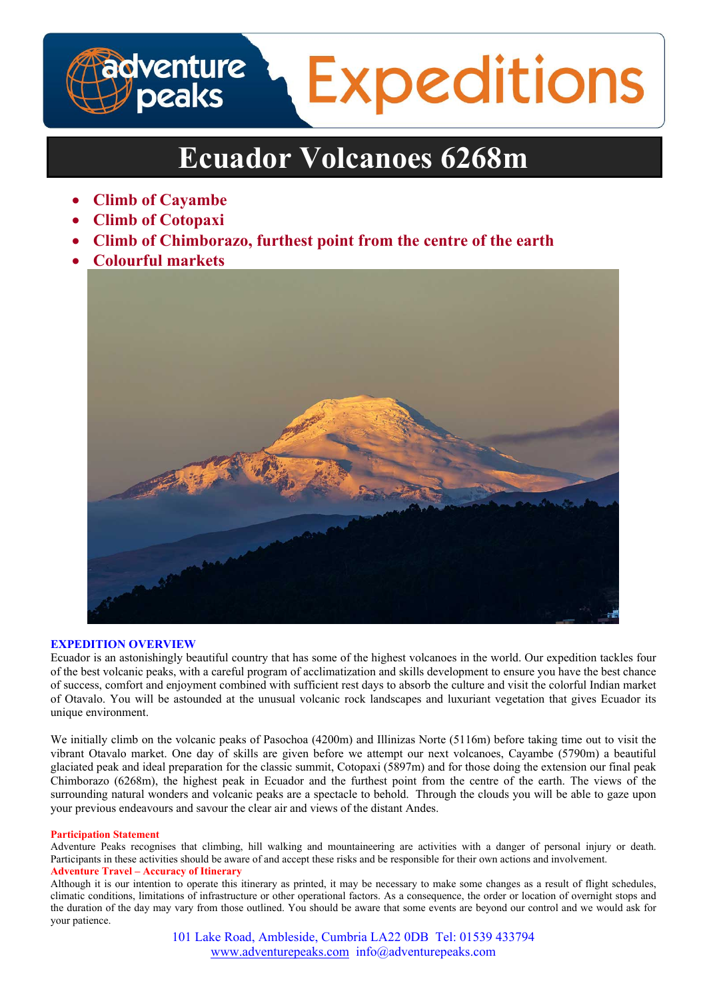

# **Ecuador Volcanoes 6268m**

- **Climb of Cayambe**
- **Climb of Cotopaxi**
- **Climb of Chimborazo, furthest point from the centre of the earth**
- **Colourful markets**



# **EXPEDITION OVERVIEW**

Ecuador is an astonishingly beautiful country that has some of the highest volcanoes in the world. Our expedition tackles four of the best volcanic peaks, with a careful program of acclimatization and skills development to ensure you have the best chance of success, comfort and enjoyment combined with sufficient rest days to absorb the culture and visit the colorful Indian market of Otavalo. You will be astounded at the unusual volcanic rock landscapes and luxuriant vegetation that gives Ecuador its unique environment.

We initially climb on the volcanic peaks of Pasochoa (4200m) and Illinizas Norte (5116m) before taking time out to visit the vibrant Otavalo market. One day of skills are given before we attempt our next volcanoes, Cayambe (5790m) a beautiful glaciated peak and ideal preparation for the classic summit, Cotopaxi (5897m) and for those doing the extension our final peak Chimborazo (6268m), the highest peak in Ecuador and the furthest point from the centre of the earth. The views of the surrounding natural wonders and volcanic peaks are a spectacle to behold. Through the clouds you will be able to gaze upon your previous endeavours and savour the clear air and views of the distant Andes.

## **Participation Statement**

Adventure Peaks recognises that climbing, hill walking and mountaineering are activities with a danger of personal injury or death. Participants in these activities should be aware of and accept these risks and be responsible for their own actions and involvement. **Adventure Travel – Accuracy of Itinerary** 

Although it is our intention to operate this itinerary as printed, it may be necessary to make some changes as a result of flight schedules, climatic conditions, limitations of infrastructure or other operational factors. As a consequence, the order or location of overnight stops and the duration of the day may vary from those outlined. You should be aware that some events are beyond our control and we would ask for your patience.

> 101 Lake Road, Ambleside, Cumbria LA22 0DB Tel: 01539 433794 www.adventurepeaks.com info@adventurepeaks.com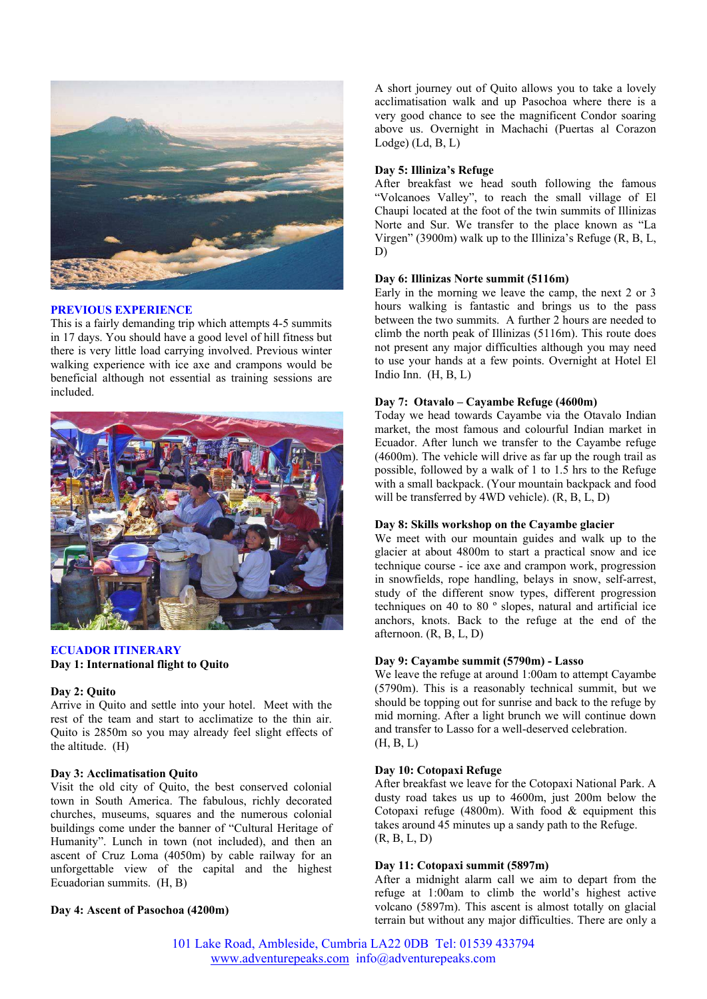

# **PREVIOUS EXPERIENCE**

This is a fairly demanding trip which attempts 4-5 summits in 17 days. You should have a good level of hill fitness but there is very little load carrying involved. Previous winter walking experience with ice axe and crampons would be beneficial although not essential as training sessions are included.



# **ECUADOR ITINERARY Day 1: International flight to Quito**

#### **Day 2: Quito**

Arrive in Quito and settle into your hotel. Meet with the rest of the team and start to acclimatize to the thin air. Quito is 2850m so you may already feel slight effects of the altitude. (H)

# **Day 3: Acclimatisation Quito**

Visit the old city of Quito, the best conserved colonial town in South America. The fabulous, richly decorated churches, museums, squares and the numerous colonial buildings come under the banner of "Cultural Heritage of Humanity". Lunch in town (not included), and then an ascent of Cruz Loma (4050m) by cable railway for an unforgettable view of the capital and the highest Ecuadorian summits. (H, B)

## **Day 4: Ascent of Pasochoa (4200m)**

A short journey out of Quito allows you to take a lovely acclimatisation walk and up Pasochoa where there is a very good chance to see the magnificent Condor soaring above us. Overnight in Machachi (Puertas al Corazon  $Lodge)$  ( $Ld, B, L$ )

## **Day 5: Illiniza's Refuge**

After breakfast we head south following the famous "Volcanoes Valley", to reach the small village of El Chaupi located at the foot of the twin summits of Illinizas Norte and Sur. We transfer to the place known as "La Virgen" (3900m) walk up to the Illiniza's Refuge (R, B, L, D)

#### **Day 6: Illinizas Norte summit (5116m)**

Early in the morning we leave the camp, the next 2 or 3 hours walking is fantastic and brings us to the pass between the two summits. A further 2 hours are needed to climb the north peak of Illinizas (5116m). This route does not present any major difficulties although you may need to use your hands at a few points. Overnight at Hotel El Indio Inn.  $(H, B, L)$ 

## **Day 7: Otavalo – Cayambe Refuge (4600m)**

Today we head towards Cayambe via the Otavalo Indian market, the most famous and colourful Indian market in Ecuador. After lunch we transfer to the Cayambe refuge (4600m). The vehicle will drive as far up the rough trail as possible, followed by a walk of 1 to 1.5 hrs to the Refuge with a small backpack. (Your mountain backpack and food will be transferred by 4WD vehicle). (R, B, L, D)

## **Day 8: Skills workshop on the Cayambe glacier**

We meet with our mountain guides and walk up to the glacier at about 4800m to start a practical snow and ice technique course - ice axe and crampon work, progression in snowfields, rope handling, belays in snow, self-arrest, study of the different snow types, different progression techniques on 40 to 80 º slopes, natural and artificial ice anchors, knots. Back to the refuge at the end of the afternoon. (R, B, L, D)

#### **Day 9: Cayambe summit (5790m) - Lasso**

We leave the refuge at around 1:00am to attempt Cayambe (5790m). This is a reasonably technical summit, but we should be topping out for sunrise and back to the refuge by mid morning. After a light brunch we will continue down and transfer to Lasso for a well-deserved celebration.  $(H, B, L)$ 

#### **Day 10: Cotopaxi Refuge**

After breakfast we leave for the Cotopaxi National Park. A dusty road takes us up to 4600m, just 200m below the Cotopaxi refuge (4800m). With food  $&$  equipment this takes around 45 minutes up a sandy path to the Refuge. (R, B, L, D)

## **Day 11: Cotopaxi summit (5897m)**

After a midnight alarm call we aim to depart from the refuge at 1:00am to climb the world's highest active volcano (5897m). This ascent is almost totally on glacial terrain but without any major difficulties. There are only a

101 Lake Road, Ambleside, Cumbria LA22 0DB Tel: 01539 433794 www.adventurepeaks.com info@adventurepeaks.com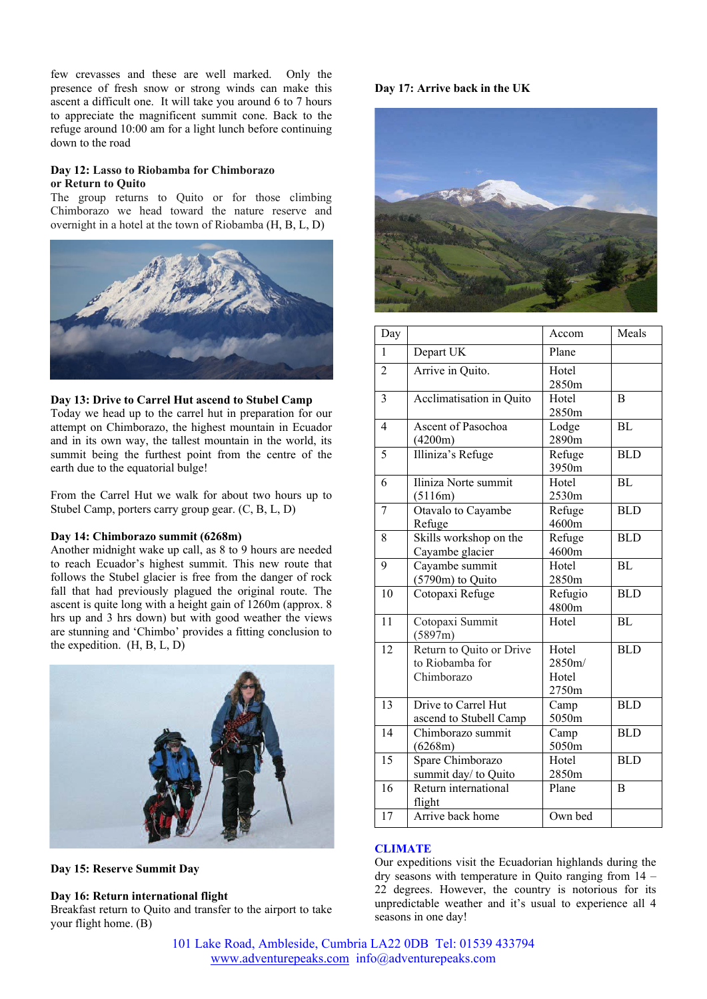few crevasses and these are well marked. Only the presence of fresh snow or strong winds can make this ascent a difficult one. It will take you around 6 to 7 hours to appreciate the magnificent summit cone. Back to the refuge around 10:00 am for a light lunch before continuing down to the road

## **Day 12: Lasso to Riobamba for Chimborazo or Return to Quito**

The group returns to Quito or for those climbing Chimborazo we head toward the nature reserve and overnight in a hotel at the town of Riobamba (H, B, L, D)



# **Day 13: Drive to Carrel Hut ascend to Stubel Camp**

Today we head up to the carrel hut in preparation for our attempt on Chimborazo, the highest mountain in Ecuador and in its own way, the tallest mountain in the world, its summit being the furthest point from the centre of the earth due to the equatorial bulge!

From the Carrel Hut we walk for about two hours up to Stubel Camp, porters carry group gear. (C, B, L, D)

## **Day 14: Chimborazo summit (6268m)**

Another midnight wake up call, as 8 to 9 hours are needed to reach Ecuador's highest summit. This new route that follows the Stubel glacier is free from the danger of rock fall that had previously plagued the original route. The ascent is quite long with a height gain of 1260m (approx. 8 hrs up and 3 hrs down) but with good weather the views are stunning and 'Chimbo' provides a fitting conclusion to the expedition. (H, B, L, D)



**Day 15: Reserve Summit Day**

## **Day 16: Return international flight**

Breakfast return to Quito and transfer to the airport to take your flight home. (B)

# **Day 17: Arrive back in the UK**



| Day             |                                                           | Accom                             | Meals      |
|-----------------|-----------------------------------------------------------|-----------------------------------|------------|
| $\mathbf{1}$    | Depart UK                                                 | Plane                             |            |
| $\overline{c}$  | Arrive in Quito.                                          | Hotel<br>2850m                    |            |
| 3               | Acclimatisation in Quito                                  | Hotel<br>2850m                    | B          |
| $\overline{4}$  | Ascent of Pasochoa<br>(4200m)                             | Lodge<br>2890m                    | BL         |
| 5               | Illiniza's Refuge                                         | Refuge<br>3950m                   | <b>BLD</b> |
| 6               | Iliniza Norte summit<br>(5116m)                           | Hotel<br>2530m                    | <b>BL</b>  |
| 7               | Otavalo to Cayambe<br>Refuge                              | Refuge<br>4600m                   | <b>BLD</b> |
| 8               | Skills workshop on the<br>Cayambe glacier                 | Refuge<br>4600m                   | <b>BLD</b> |
| 9               | Cayambe summit<br>(5790m) to Quito                        | Hotel<br>2850m                    | <b>BL</b>  |
| 10              | Cotopaxi Refuge                                           | Refugio<br>4800m                  | <b>BLD</b> |
| 11              | Cotopaxi Summit<br>(5897m)                                | Hotel                             | <b>BL</b>  |
| 12              | Return to Quito or Drive<br>to Riobamba for<br>Chimborazo | Hotel<br>2850m/<br>Hotel<br>2750m | <b>BLD</b> |
| $\overline{13}$ | Drive to Carrel Hut<br>ascend to Stubell Camp             | Camp<br>5050m                     | <b>BLD</b> |
| $\overline{14}$ | Chimborazo summit<br>(6268m)                              | Camp<br>5050m                     | <b>BLD</b> |
| 15              | Spare Chimborazo<br>summit day/ to Quito                  | Hotel<br>2850m                    | <b>BLD</b> |
| $\overline{16}$ | Return international<br>flight                            | Plane                             | B          |
| 17              | Arrive back home                                          | Own bed                           |            |

# **CLIMATE**

Our expeditions visit the Ecuadorian highlands during the dry seasons with temperature in Quito ranging from 14 – 22 degrees. However, the country is notorious for its unpredictable weather and it's usual to experience all 4 seasons in one day!

101 Lake Road, Ambleside, Cumbria LA22 0DB Tel: 01539 433794 www.adventurepeaks.com info@adventurepeaks.com